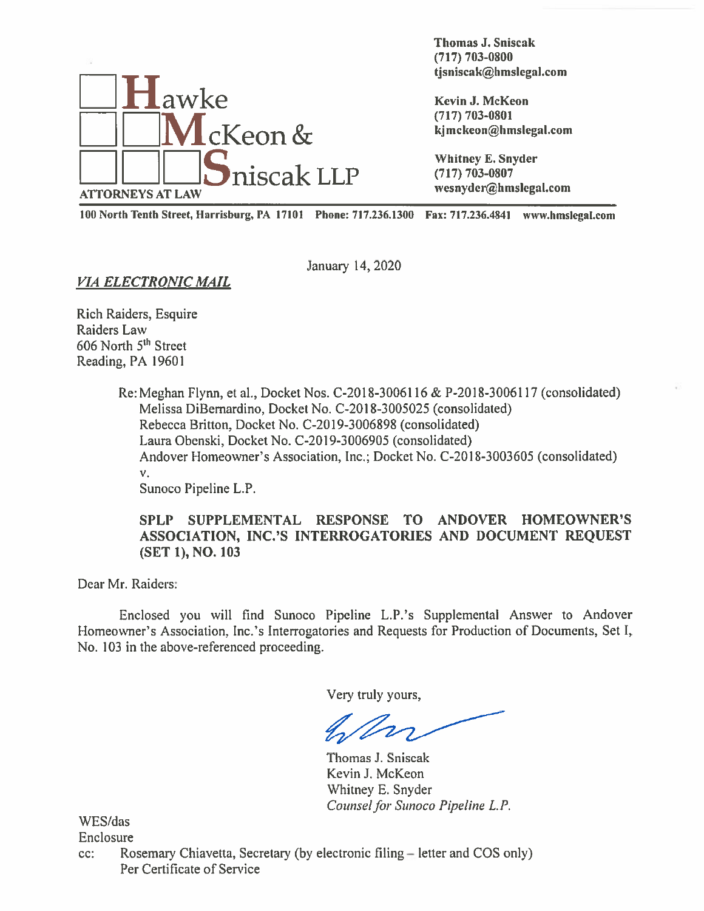

Thomas J. Sniscak (717) 703-0800

100 North Tenth Street, Harrisburg, PA <sup>17101</sup> Phone: 717.236.1300 Fax: 717.236.4841 www.hmslegaI.com

January 14, 2020

VIA ELECTRONIC MAIL

Rich Raiders, Esquire Raiders Law 606 North 5<sup>th</sup> Street Reading, PA 19601

> Re: Meghan Flynn, et al., Docket Nos. C-20 18-3006116 & P-20 18-3006117 (consolidated) Melissa DiBemardino, Docket No. C-2018-3005025 (consolidated) Rebecca Britton, Docket No. C-2019-3006898 (consolidated) Laura Obenski, Docket No. C-2019-3006905 (consolidated) Andover Homeowner's Association, Inc.; Docket No. C-2018-3003605 (consolidated) v.

Sunoco Pipeline L.P.

SPLP SUPPLEMENTAL RESPONSE TO ANDOVER HOMEOWNER'S ASSOCIATION, INC.'S INTERROGATORIES AND DOCUMENT REQUEST (SET 1), NO. 103

Dear Mr. Raiders:

Enclosed you will find Sunoco Pipeline L.P.'s Supplemental Answer to Andover Homeowner's Association, Inc.'s Interrogatories and Requests for Production of Documents, Set I, No. 103 in the above-referenced proceeding.

Very truly yours,

Thomas J. Sniscak Kevin J. McKeon Whitney E. Snyder Counsel for Sunoco Pipeline L.P.

WES/das Enclosure

cc: Rosemary Chiavetta, Secretary (by electronic filing — letter and COS only) Per Certificate of Service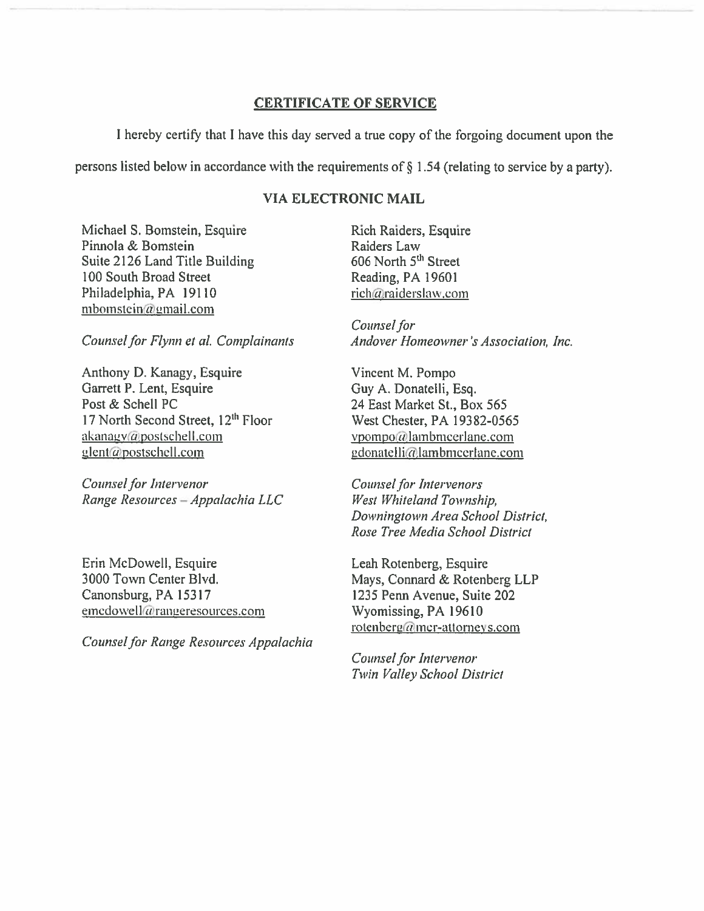## **CERTIFICATE OF SERVICE**

I hereby certify that I have this day served a true copy of the forgoing document upon the

persons listed below in accordance with the requirements of  $\S$  1.54 (relating to service by a party).

## **VIA ELECTRONIC MAIL**

Michael S. Bomstein, Esquire Pinnola & Bomstein Suite 2126 Land Title Building 100 South Broad Street Philadelphia, PA 19110 mbomstein@gmail.com

Counsel for Flynn et al. Complainants

Anthony D. Kanagy, Esquire Garrett P. Lent, Esquire Post & Schell PC 17 North Second Street, 12<sup>th</sup> Floor akanagy@postschell.com glent@postschell.com

Counsel for Intervenor Range Resources - Appalachia LLC

Erin McDowell, Esquire 3000 Town Center Blvd. Canonsburg, PA 15317 emcdowell@rangeresources.com

Counsel for Range Resources Appalachia

Rich Raiders, Esquire Raiders Law 606 North 5th Street Reading, PA 19601 rich@raiderslaw.com

Counsel for Andover Homeowner's Association, Inc.

Vincent M. Pompo Guy A. Donatelli, Esq. 24 East Market St., Box 565 West Chester, PA 19382-0565 vpompo@lambmcerlane.com gdonatelli@lambmcerlane.com

**Counsel for Intervenors** West Whiteland Township, Downingtown Area School District. Rose Tree Media School District

Leah Rotenberg, Esquire Mays, Connard & Rotenberg LLP 1235 Penn Avenue, Suite 202 Wyomissing, PA 19610 rotenberg@mcr-attorneys.com

Counsel for Intervenor Twin Valley School District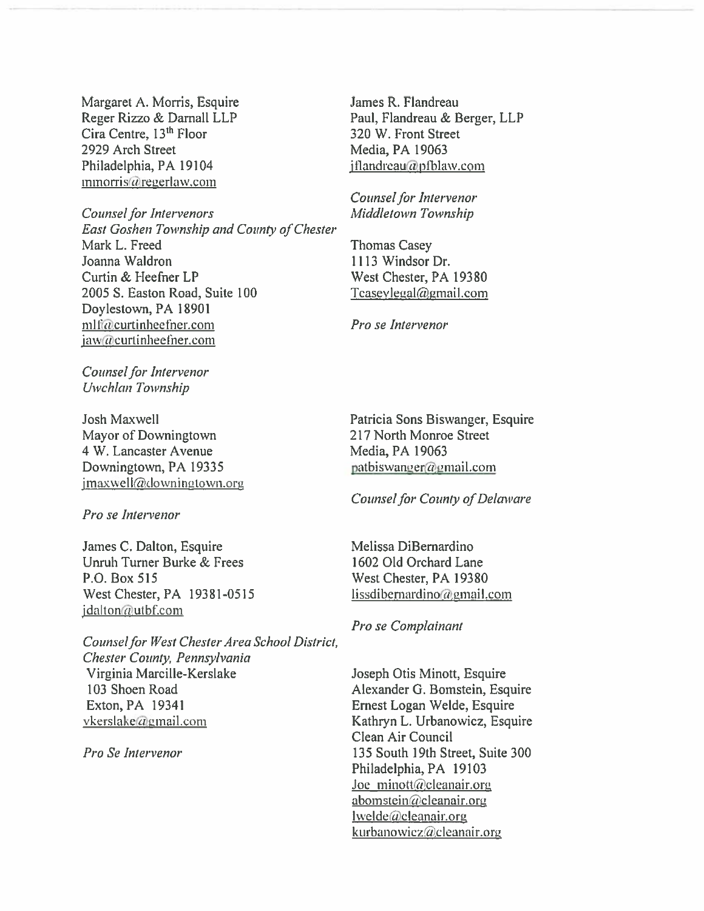Margaret A. Morris, Esquire Reger Rizzo & Darnall LLP Cira Centre, 13th Floor 2929 Arch Street Philadelphia, PA 19104  $mnorris\omega$ regerlaw.com

Counsel for Intervenors East Goshen Township and County of Chester Mark L. Freed Joanna Waldron Curtin & Heefner LP 2005 S. Easton Road, Suite 100 Doylestown, PA 18901 mlf@curtinheefner.com  $jaw(a)$ curtinhee fher.com

Counsel for Intervenor Uwchian Township

Josh Maxwell Mayor of Downingtown 4 W. Lancaster Avenue Downingtown, PA 19335  $imaxwell@downington.org$ 

Pro se Intervenor

James C. Dalton, Esquire Unruh Turner Burke & Frees P.O. Box 515 West Chester, PA 19381-0515  $j$ dalton $a$ utbf.com

Counsel for West Chester Area School District, Chester County, Pennsylvania Virginia Marcille-Kersiake 103 Shoen Road Exton,PA 19341  $v$ kerslake@gmail.com

Pro Se Intervenor

James R. Flandreau Paul, Flandreau & Berger, LLP 320 W. Front Street Media, PA 19063  $iflandreau@pfblaw.com$ 

Counsel for Intervenor Middletown Township

Thomas Casey 1113 Windsor Dr. West Chester, PA 19380  $Tcasevlegal@gmail.com$ 

Pro se Intervenor

Patricia Sons Biswanger, Esquire 217 North Monroe Street Media, PA 19063  $path is wanger@gamma.com$ 

Counsel for County of Delaware

Melissa DiBemardino 1602 Old Orchard Lane West Chester, PA 19380 lissdibernardino@gmail.com

Pro se Complainant

Joseph Otis Minott, Esquire Alexander G. Bomstein, Esquire Ernest Logan Welde, Esquire Kathryn L. Urbanowicz, Esquire Clean Air Council 135 South 19th Street, Suite 300 Philadelphia, PA 19103 Joe minott@cleanair.org abomstein@cleanair.org  $lwell$ eleanair.org kurbanowicz@cleanair.org